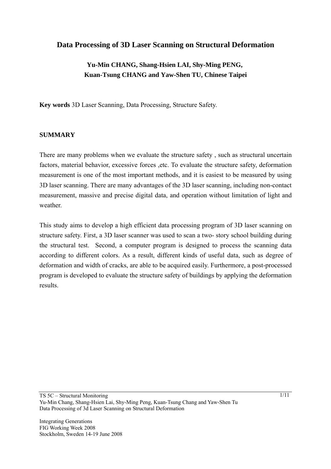## **Data Processing of 3D Laser Scanning on Structural Deformation**

## **Yu-Min CHANG, Shang-Hsien LAI, Shy-Ming PENG, Kuan-Tsung CHANG and Yaw-Shen TU, Chinese Taipei**

**Key words** 3D Laser Scanning, Data Processing, Structure Safety.

#### **SUMMARY**

There are many problems when we evaluate the structure safety , such as structural uncertain factors, material behavior, excessive forces ,etc. To evaluate the structure safety, deformation measurement is one of the most important methods, and it is easiest to be measured by using 3D laser scanning. There are many advantages of the 3D laser scanning, including non-contact measurement, massive and precise digital data, and operation without limitation of light and weather.

This study aims to develop a high efficient data processing program of 3D laser scanning on structure safety. First, a 3D laser scanner was used to scan a two- story school building during the structural test. Second, a computer program is designed to process the scanning data according to different colors. As a result, different kinds of useful data, such as degree of deformation and width of cracks, are able to be acquired easily. Furthermore, a post-processed program is developed to evaluate the structure safety of buildings by applying the deformation results.

TS 5C – Structural Monitoring Yu-Min Chang, Shang-Hsien Lai, Shy-Ming Peng, Kuan-Tsung Chang and Yaw-Shen Tu Data Processing of 3d Laser Scanning on Structural Deformation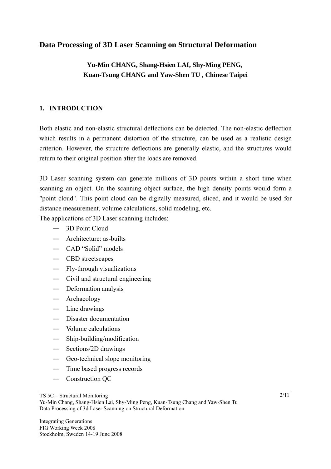## **Data Processing of 3D Laser Scanning on Structural Deformation**

# **Yu-Min CHANG, Shang-Hsien LAI, Shy-Ming PENG, Kuan-Tsung CHANG and Yaw-Shen TU , Chinese Taipei**

## **1. INTRODUCTION**

Both elastic and non-elastic structural deflections can be detected. The non-elastic deflection which results in a permanent distortion of the structure, can be used as a realistic design criterion. However, the structure deflections are generally elastic, and the structures would return to their original position after the loads are removed.

3D Laser scanning system can generate millions of 3D points within a short time when scanning an object. On the scanning object surface, the high density points would form a "point cloud". This point cloud can be digitally measured, sliced, and it would be used for distance measurement, volume calculations, solid modeling, etc.

The applications of 3D Laser scanning includes:

- ― 3D Point Cloud
- ― Architecture: as-builts
- ― CAD "Solid" models
- ― CBD streetscapes
- ― Fly-through visualizations
- ― Civil and structural engineering
- ― Deformation analysis
- ― Archaeology
- ― Line drawings
- ― Disaster documentation
- ― Volume calculations
- ― Ship-building/modification
- ― Sections/2D drawings
- ― Geo-technical slope monitoring
- ― Time based progress records
- ― Construction QC

TS 5C – Structural Monitoring

Yu-Min Chang, Shang-Hsien Lai, Shy-Ming Peng, Kuan-Tsung Chang and Yaw-Shen Tu Data Processing of 3d Laser Scanning on Structural Deformation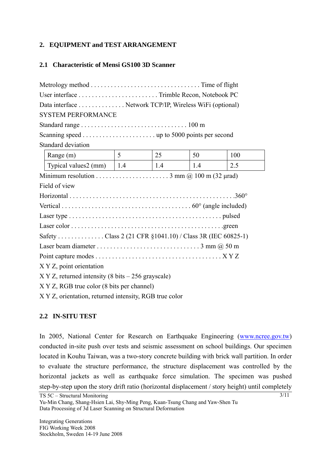#### **2. EQUIPMENT and TEST ARRANGEMENT**

#### **2.1 Characteristic of Mensi GS100 3D Scanner**

| Data interface Network TCP/IP, Wireless WiFi (optional)   |                |             |     |     |
|-----------------------------------------------------------|----------------|-------------|-----|-----|
| <b>SYSTEM PERFORMANCE</b>                                 |                |             |     |     |
|                                                           |                |             |     |     |
|                                                           |                |             |     |     |
| Standard deviation                                        |                |             |     |     |
| Range (m)                                                 | 5 <sup>5</sup> | 25          | 50  | 100 |
| Typical values $2 \text{ (mm)} \quad 1.4$                 |                | $\vert$ 1.4 | 1.4 | 2.5 |
|                                                           |                |             |     |     |
| Field of view                                             |                |             |     |     |
|                                                           |                |             |     |     |
|                                                           |                |             |     |     |
|                                                           |                |             |     |     |
|                                                           |                |             |     |     |
| Safety Class 2 (21 CFR §1041.10) / Class 3R (IEC 60825-1) |                |             |     |     |
|                                                           |                |             |     |     |
|                                                           |                |             |     |     |
| X Y Z, point orientation                                  |                |             |     |     |
| $X$ Y Z, returned intensity (8 bits $-256$ grayscale)     |                |             |     |     |
| X Y Z, RGB true color (8 bits per channel)                |                |             |     |     |
| X Y Z, orientation, returned intensity, RGB true color    |                |             |     |     |

## **2.2 IN-SITU TEST**

In 2005, National Center for Research on Earthquake Engineering (www.ncree.gov.tw) conducted in-site push over tests and seismic assessment on school buildings. Our specimen located in Kouhu Taiwan, was a two-story concrete building with brick wall partition. In order to evaluate the structure performance, the structure displacement was controlled by the horizontal jackets as well as earthquake force simulation. The specimen was pushed step-by-step upon the story drift ratio (horizontal displacement / story height) until completely

Yu-Min Chang, Shang-Hsien Lai, Shy-Ming Peng, Kuan-Tsung Chang and Yaw-Shen Tu Data Processing of 3d Laser Scanning on Structural Deformation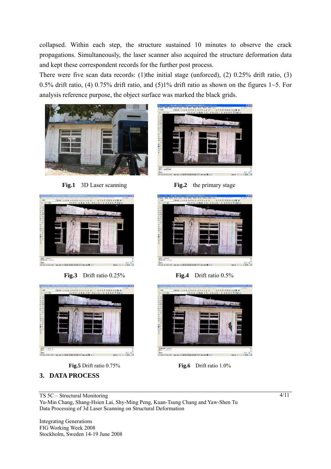collapsed. Within each step, the structure sustained 10 minutes to observe the crack propagations. Simultaneously, the laser scanner also acquired the structure deformation data and kept these correspondent records for the further post process.

There were five scan data records: (1)the initial stage (unforced), (2) 0.25% drift ratio, (3) 0.5% drift ratio, (4) 0.75% drift ratio, and (5)1% drift ratio as shown on the figures  $1 \sim 5$ . For analysis reference purpose, the object surface was marked the black grids.



**Fig.1** 3D Laser scanning **Fig.2** the primary stage







## **3. DATA PROCESS**



**Fig.5** Drift ratio 0.75% **Fig.6** Drift ratio 1.0%

matical colored

on on 27 and hope hours lott by an III at 2

TS 5C – Structural Monitoring Yu-Min Chang, Shang-Hsien Lai, Shy-Ming Peng, Kuan-Tsung Chang and Yaw-Shen Tu Data Processing of 3d Laser Scanning on Structural Deformation

Integrating Generations FIG Working Week 2008 Stockholm, Sweden 14-19 June 2008 4/11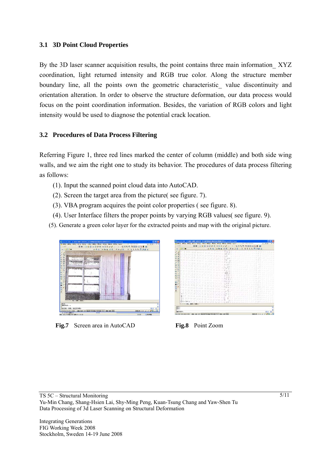#### **3.1 3D Point Cloud Properties**

By the 3D laser scanner acquisition results, the point contains three main information XYZ coordination, light returned intensity and RGB true color. Along the structure member boundary line, all the points own the geometric characteristic value discontinuity and orientation alteration. In order to observe the structure deformation, our data process would focus on the point coordination information. Besides, the variation of RGB colors and light intensity would be used to diagnose the potential crack location.

#### **3.2 Procedures of Data Process Filtering**

Referring Figure 1, three red lines marked the center of column (middle) and both side wing walls, and we aim the right one to study its behavior. The procedures of data process filtering as follows:

- (1). Input the scanned point cloud data into AutoCAD.
- (2). Screen the target area from the picture( see figure. 7).
- (3). VBA program acquires the point color properties ( see figure. 8).
- (4). User Interface filters the proper points by varying RGB values( see figure. 9).

(5). Generate a green color layer for the extracted points and map with the original picture.



**Fig.7** Screen area in AutoCAD **Fig.8** Point Zoom

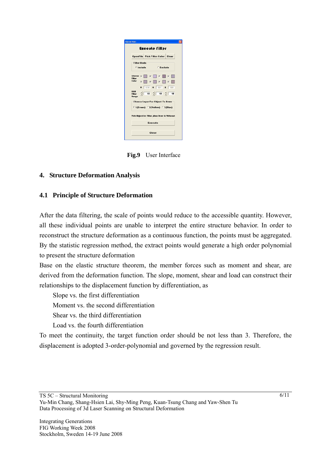| <b>Execute filter</b>              |                                                                                                       |  |
|------------------------------------|-------------------------------------------------------------------------------------------------------|--|
|                                    | <b>OpenFile Pick Filter Color Clear</b>                                                               |  |
| <b>Filter Mode</b>                 |                                                                                                       |  |
| $6$ Include                        | Exclude                                                                                               |  |
| Choose $\overline{\vee}$           | $\blacksquare$<br>$\overline{\mathbf{v}}$                                                             |  |
| <b>Filter</b><br>Color<br><b>V</b> | $\overline{v}$<br>$\overline{\nu}$<br>π                                                               |  |
|                                    | R 174 G 151 B 159                                                                                     |  |
| RGR<br><b>Filter</b><br>Range      | $\frac{1}{2}$ $\frac{1}{15}$ $\frac{1}{2}$ $\frac{1}{15}$ $\frac{1}{2}$ $\frac{1}{15}$ $\frac{1}{15}$ |  |
|                                    | <b>Choose Layer For Object To Draw</b>                                                                |  |
|                                    | F 1(Green) 2(Yellow) C 3(Blue)                                                                        |  |
|                                    | Pick Object for Filter , then Draw & Writeout                                                         |  |
|                                    | Execute                                                                                               |  |

 **Fig.9** User Interface

## **4. Structure Deformation Analysis**

#### **4.1 Principle of Structure Deformation**

After the data filtering, the scale of points would reduce to the accessible quantity. However, all these individual points are unable to interpret the entire structure behavior. In order to reconstruct the structure deformation as a continuous function, the points must be aggregated. By the statistic regression method, the extract points would generate a high order polynomial to present the structure deformation

Base on the elastic structure theorem, the member forces such as moment and shear, are derived from the deformation function. The slope, moment, shear and load can construct their relationships to the displacement function by differentiation, as

Slope vs. the first differentiation

Moment vs. the second differentiation

Shear vs. the third differentiation

Load vs. the fourth differentiation

To meet the continuity, the target function order should be not less than 3. Therefore, the displacement is adopted 3-order-polynomial and governed by the regression result.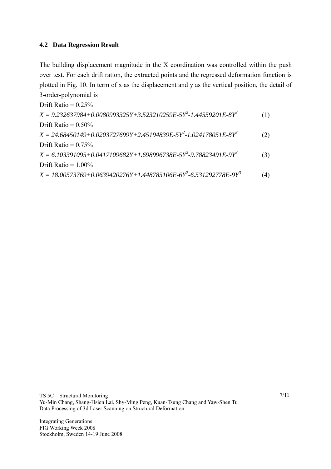#### **4.2 Data Regression Result**

The building displacement magnitude in the X coordination was controlled within the push over test. For each drift ration, the extracted points and the regressed deformation function is plotted in Fig. 10. In term of x as the displacement and y as the vertical position, the detail of 3-order-polynomial is

Drift Ratio =  $0.25\%$ *X = 9.232637984+0.0080993325Y+3.523210259E-5Y2 -1.44559201E-8Y3* (1) Drift Ratio  $= 0.50\%$  $X = 24.68450149 + 0.0203727699Y + 2.45194839E - 5Y^2 - 1.024178051E - 8Y^3$  (2) Drift Ratio  $= 0.75\%$  $X = 6.103391095 + 0.0417109682Y + 1.698996738E - 5Y^2 - 9.78823491E - 9Y^3$  (3) Drift Ratio  $= 1.00\%$  $X = 18.00573769 + 0.0639420276Y + 1.448785106E - 6Y^2 - 6.531292778E - 9Y^3$  (4)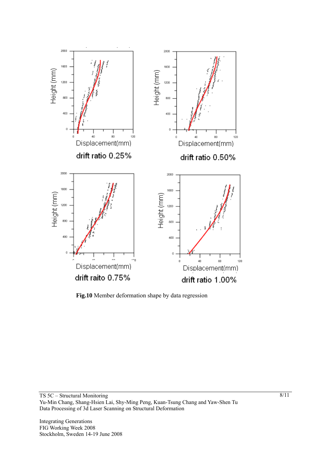

**Fig.10** Member deformation shape by data regression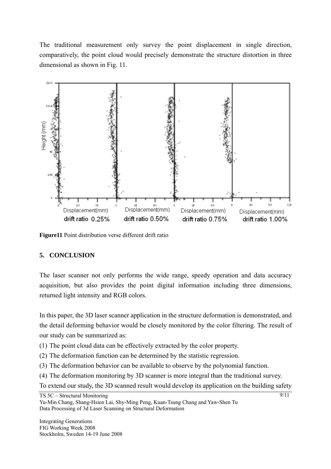The traditional measurement only survey the point displacement in single direction, comparatively, the point cloud would precisely demonstrate the structure distortion in three dimensional as shown in Fig. 11.



Figure<sup>11</sup> Point distribution verse different drift ratio

## **5. CONCLUSION**

The laser scanner not only performs the wide range, speedy operation and data accuracy acquisition, but also provides the point digital information including three dimensions, returned light intensity and RGB colors.

In this paper, the 3D laser scanner application in the structure deformation is demonstrated, and the detail deforming behavior would be closely monitored by the color filtering. The result of our study can be summarized as:

(1) The point cloud data can be effectively extracted by the color property.

- (2) The deformation function can be determined by the statistic regression.
- (3) The deformation behavior can be available to observe by the polynomial function.
- (4) The deformation monitoring by 3D scanner is more integral than the traditional survey.

To extend our study, the 3D scanned result would develop its application on the building safety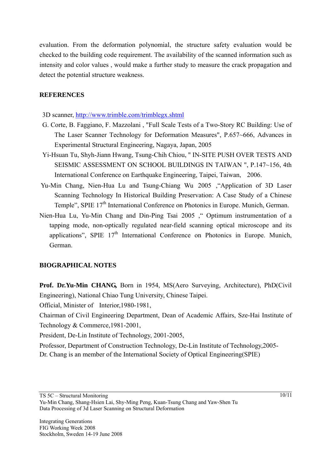evaluation. From the deformation polynomial, the structure safety evaluation would be checked to the building code requirement. The availability of the scanned information such as intensity and color values , would make a further study to measure the crack propagation and detect the potential structure weakness.

#### **REFERENCES**

3D scanner, http://www.trimble.com/trimblegx.shtml

- G. Corte, B. Faggiano, F. Mazzolani , "Full Scale Tests of a Two-Story RC Building: Use of The Laser Scanner Technology for Deformation Measures", P.657~666, Advances in Experimental Structural Engineering, Nagaya, Japan, 2005
- Yi-Hsuan Tu, Shyh-Jiann Hwang, Tsung-Chih Chiou, " IN-SITE PUSH OVER TESTS AND SEISMIC ASSESSMENT ON SCHOOL BUILDINGS IN TAIWAN ", P.147~156, 4th International Conference on Earthquake Engineering, Taipei, Taiwan, 2006.
- Yu-Min Chang, Nien-Hua Lu and Tsung-Chiang Wu 2005, "Application of 3D Laser Scanning Technology In Historical Building Preservation: A Case Study of a Chinese Temple", SPIE 17<sup>th</sup> International Conference on Photonics in Europe. Munich, German.
- Nien-Hua Lu, Yu-Min Chang and Din-Ping Tsai2005," Optimum instrumentation of a tapping mode, non-optically regulated near-field scanning optical microscope and its applications". SPIE  $17<sup>th</sup>$  International Conference on Photonics in Europe. Munich, German.

#### **BIOGRAPHICAL NOTES**

**Prof. Dr.Yu-Min CHANG,** Born in 1954, MS(Aero Surveying, Architecture), PhD(Civil Engineering), National Chiao Tung University, Chinese Taipei.

Official, Minister of Interior,1980-1981,

Chairman of Civil Engineering Department, Dean of Academic Affairs, Sze-Hai Institute of Technology & Commerce,1981-2001,

President, De-Lin Institute of Technology, 2001-2005,

Professor, Department of Construction Technology, De-Lin Institute of Technology,2005- Dr. Chang is an member of the International Society of Optical Engineering(SPIE)